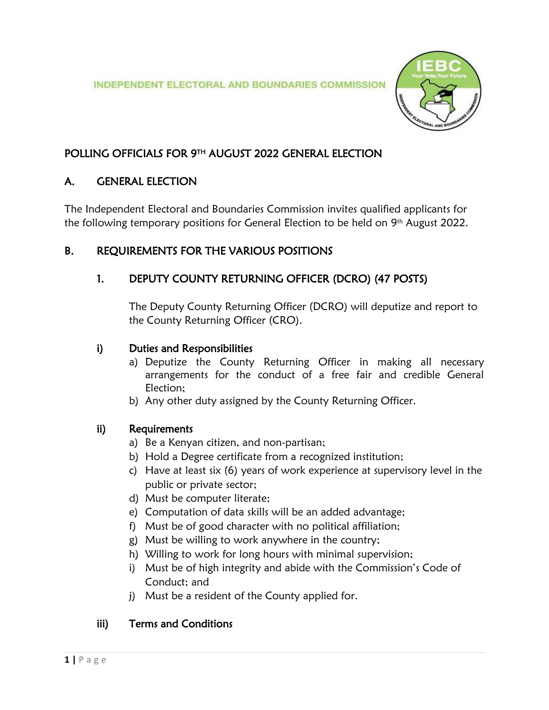

# POLLING OFFICIALS FOR 9TH AUGUST 2022 GENERAL ELECTION

# A. GENERAL ELECTION

The Independent Electoral and Boundaries Commission invites qualified applicants for the following temporary positions for General Election to be held on 9th August 2022.

# B. REQUIREMENTS FOR THE VARIOUS POSITIONS

# 1. DEPUTY COUNTY RETURNING OFFICER (DCRO) (47 POSTS)

The Deputy County Returning Officer (DCRO) will deputize and report to the County Returning Officer (CRO).

# i) Duties and Responsibilities

- a) Deputize the County Returning Officer in making all necessary arrangements for the conduct of a free fair and credible General Election;
- b) Any other duty assigned by the County Returning Officer.

# ii) Requirements

- a) Be a Kenyan citizen, and non-partisan;
- b) Hold a Degree certificate from a recognized institution;
- c) Have at least six (6) years of work experience at supervisory level in the public or private sector;
- d) Must be computer literate;
- e) Computation of data skills will be an added advantage;
- f) Must be of good character with no political affiliation;
- g) Must be willing to work anywhere in the country;
- h) Willing to work for long hours with minimal supervision;
- i) Must be of high integrity and abide with the Commission's Code of Conduct; and
- j) Must be a resident of the County applied for.

# iii) Terms and Conditions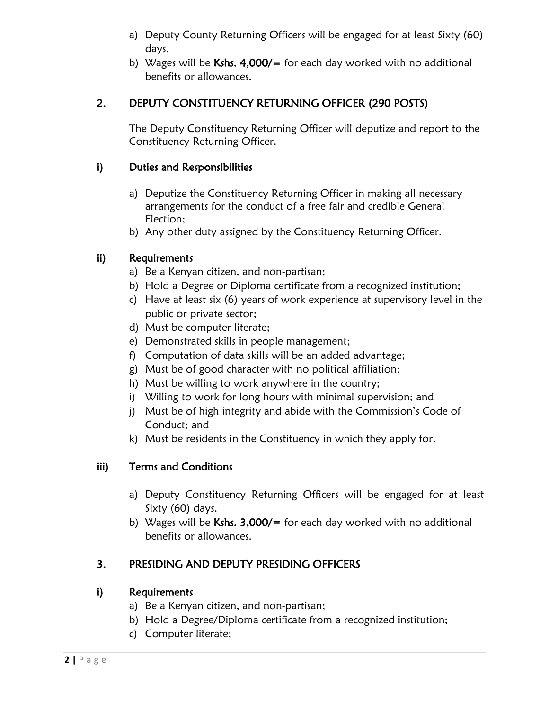- a) Deputy County Returning Officers will be engaged for at least Sixty (60) days.
- b) Wages will be Kshs.  $4,000/$ = for each day worked with no additional benefits or allowances.

# 2. DEPUTY CONSTITUENCY RETURNING OFFICER (290 POSTS)

The Deputy Constituency Returning Officer will deputize and report to the Constituency Returning Officer.

### i) Duties and Responsibilities

- a) Deputize the Constituency Returning Officer in making all necessary arrangements for the conduct of a free fair and credible General Election;
- b) Any other duty assigned by the Constituency Returning Officer.

# ii) Requirements

- a) Be a Kenyan citizen, and non-partisan;
- b) Hold a Degree or Diploma certificate from a recognized institution;
- c) Have at least six (6) years of work experience at supervisory level in the public or private sector;
- d) Must be computer literate;
- e) Demonstrated skills in people management;
- f) Computation of data skills will be an added advantage;
- g) Must be of good character with no political affiliation;
- h) Must be willing to work anywhere in the country;
- i) Willing to work for long hours with minimal supervision; and
- j) Must be of high integrity and abide with the Commission's Code of Conduct; and
- k) Must be residents in the Constituency in which they apply for.

# iii) Terms and Conditions

- a) Deputy Constituency Returning Officers will be engaged for at least Sixty (60) days.
- b) Wages will be Kshs.  $3,000/$ = for each day worked with no additional benefits or allowances.

# 3. PRESIDING AND DEPUTY PRESIDING OFFICERS

- a) Be a Kenyan citizen, and non-partisan;
- b) Hold a Degree/Diploma certificate from a recognized institution;
- c) Computer literate;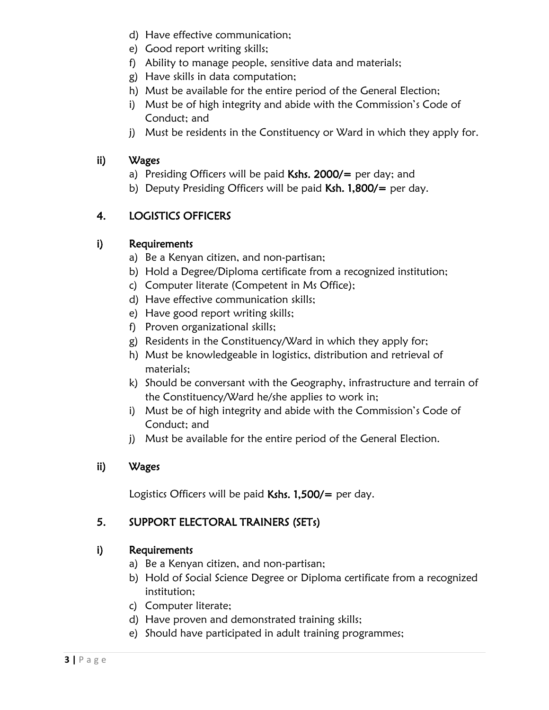- d) Have effective communication;
- e) Good report writing skills;
- f) Ability to manage people, sensitive data and materials;
- g) Have skills in data computation;
- h) Must be available for the entire period of the General Election;
- i) Must be of high integrity and abide with the Commission's Code of Conduct; and
- j) Must be residents in the Constituency or Ward in which they apply for.

### ii) Wages

- a) Presiding Officers will be paid  $Kshs. 2000/$  per day; and
- b) Deputy Presiding Officers will be paid  $Ksh. 1,800/=$  per day.

# 4. LOGISTICS OFFICERS

# i) Requirements

- a) Be a Kenyan citizen, and non-partisan;
- b) Hold a Degree/Diploma certificate from a recognized institution;
- c) Computer literate (Competent in Ms Office);
- d) Have effective communication skills;
- e) Have good report writing skills;
- f) Proven organizational skills;
- g) Residents in the Constituency/Ward in which they apply for;
- h) Must be knowledgeable in logistics, distribution and retrieval of materials;
- k) Should be conversant with the Geography, infrastructure and terrain of the Constituency/Ward he/she applies to work in;
- i) Must be of high integrity and abide with the Commission's Code of Conduct; and
- j) Must be available for the entire period of the General Election.

#### ii) Wages

Logistics Officers will be paid Kshs.  $1,500/$  = per day.

# 5. SUPPORT ELECTORAL TRAINERS (SETs)

- a) Be a Kenyan citizen, and non-partisan;
- b) Hold of Social Science Degree or Diploma certificate from a recognized institution;
- c) Computer literate;
- d) Have proven and demonstrated training skills;
- e) Should have participated in adult training programmes;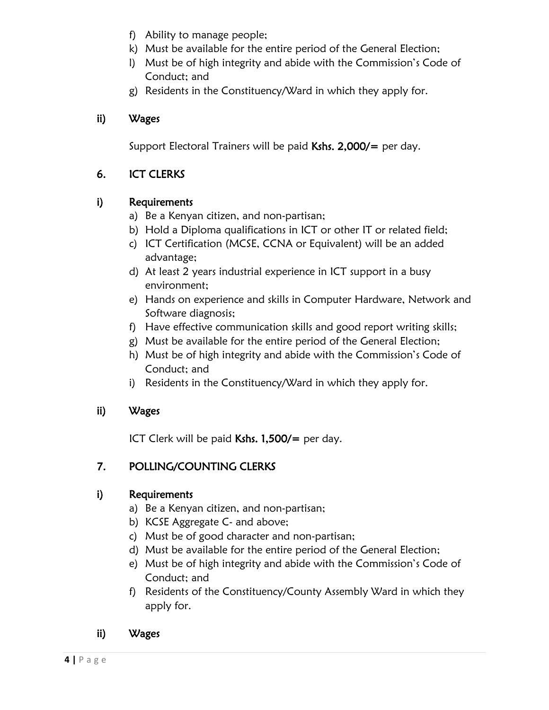- f) Ability to manage people;
- k) Must be available for the entire period of the General Election;
- l) Must be of high integrity and abide with the Commission's Code of Conduct; and
- g) Residents in the Constituency/Ward in which they apply for.

# ii) Wages

Support Electoral Trainers will be paid Kshs.  $2,000/$  = per day.

# 6. ICT CLERKS

# i) Requirements

- a) Be a Kenyan citizen, and non-partisan;
- b) Hold a Diploma qualifications in ICT or other IT or related field;
- c) ICT Certification (MCSE, CCNA or Equivalent) will be an added advantage;
- d) At least 2 years industrial experience in ICT support in a busy environment;
- e) Hands on experience and skills in Computer Hardware, Network and Software diagnosis;
- f) Have effective communication skills and good report writing skills;
- g) Must be available for the entire period of the General Election;
- h) Must be of high integrity and abide with the Commission's Code of Conduct; and
- i) Residents in the Constituency/Ward in which they apply for.

# ii) Wages

ICT Clerk will be paid Kshs. 1,500/= per day.

# 7. POLLING/COUNTING CLERKS

- a) Be a Kenyan citizen, and non-partisan;
- b) KCSE Aggregate C- and above;
- c) Must be of good character and non-partisan;
- d) Must be available for the entire period of the General Election;
- e) Must be of high integrity and abide with the Commission's Code of Conduct; and
- f) Residents of the Constituency/County Assembly Ward in which they apply for.
- ii) Wages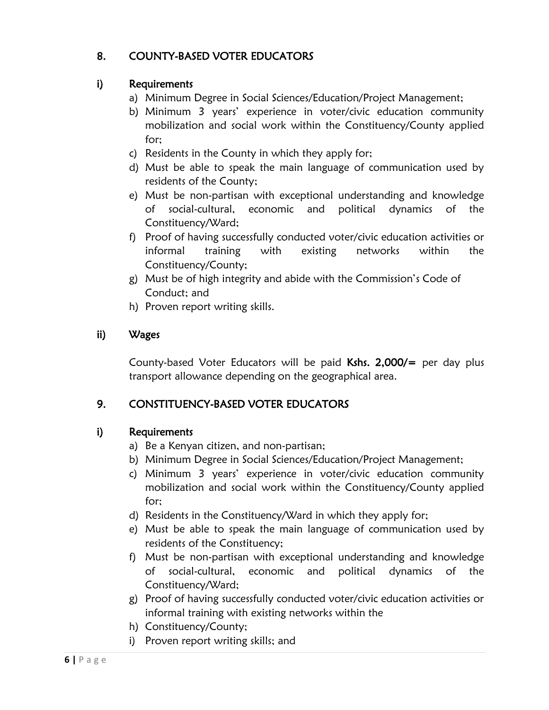# 8. COUNTY-BASED VOTER EDUCATORS

### i) Requirements

- a) Minimum Degree in Social Sciences/Education/Project Management;
- b) Minimum 3 years' experience in voter/civic education community mobilization and social work within the Constituency/County applied for;
- c) Residents in the County in which they apply for;
- d) Must be able to speak the main language of communication used by residents of the County;
- e) Must be non-partisan with exceptional understanding and knowledge of social-cultural, economic and political dynamics of the Constituency/Ward;
- f) Proof of having successfully conducted voter/civic education activities or informal training with existing networks within the Constituency/County;
- g) Must be of high integrity and abide with the Commission's Code of Conduct; and
- h) Proven report writing skills.

# ii) Wages

County-based Voter Educators will be paid Kshs. 2,000/= per day plus transport allowance depending on the geographical area.

# 9. CONSTITUENCY-BASED VOTER EDUCATORS

- a) Be a Kenyan citizen, and non-partisan;
- b) Minimum Degree in Social Sciences/Education/Project Management;
- c) Minimum 3 years' experience in voter/civic education community mobilization and social work within the Constituency/County applied for;
- d) Residents in the Constituency/Ward in which they apply for;
- e) Must be able to speak the main language of communication used by residents of the Constituency;
- f) Must be non-partisan with exceptional understanding and knowledge of social-cultural, economic and political dynamics of the Constituency/Ward;
- g) Proof of having successfully conducted voter/civic education activities or informal training with existing networks within the
- h) Constituency/County;
- i) Proven report writing skills; and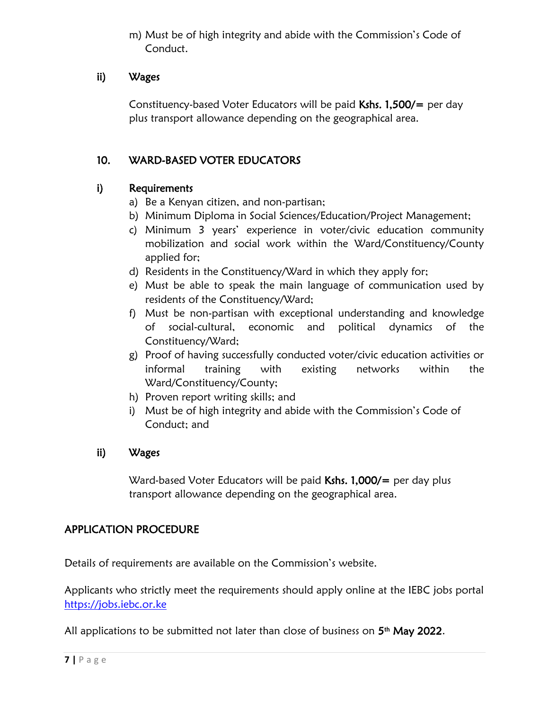m) Must be of high integrity and abide with the Commission's Code of Conduct.

#### ii) Wages

Constituency-based Voter Educators will be paid Kshs. 1,500/= per day plus transport allowance depending on the geographical area.

### 10. WARD-BASED VOTER EDUCATORS

#### i) Requirements

- a) Be a Kenyan citizen, and non-partisan;
- b) Minimum Diploma in Social Sciences/Education/Project Management;
- c) Minimum 3 years' experience in voter/civic education community mobilization and social work within the Ward/Constituency/County applied for;
- d) Residents in the Constituency/Ward in which they apply for;
- e) Must be able to speak the main language of communication used by residents of the Constituency/Ward;
- f) Must be non-partisan with exceptional understanding and knowledge of social-cultural, economic and political dynamics of the Constituency/Ward;
- g) Proof of having successfully conducted voter/civic education activities or informal training with existing networks within the Ward/Constituency/County;
- h) Proven report writing skills; and
- i) Must be of high integrity and abide with the Commission's Code of Conduct; and

#### ii) Wages

Ward-based Voter Educators will be paid Kshs. 1,000/= per day plus transport allowance depending on the geographical area.

#### APPLICATION PROCEDURE

Details of requirements are available on the Commission's website.

Applicants who strictly meet the requirements should apply online at the IEBC jobs portal [https://jobs.iebc.or.ke](https://jobs.iebc.or.ke/) 

All applications to be submitted not later than close of business on  $5<sup>th</sup>$  May 2022.